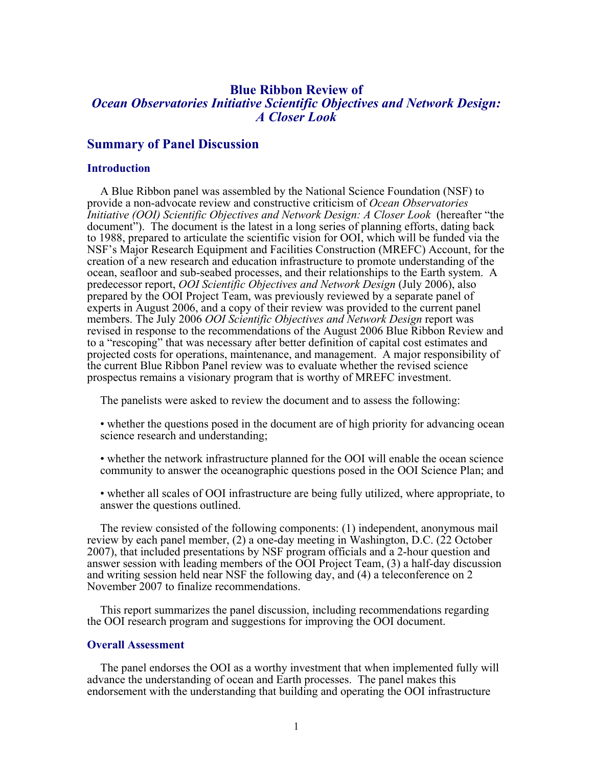# **Blue Ribbon Review of**  *Ocean Observatories Initiative Scientific Objectives and Network Design: A Closer Look*

# **Summary of Panel Discussion**

### **Introduction**

A Blue Ribbon panel was assembled by the National Science Foundation (NSF) to provide a non-advocate review and constructive criticism of *Ocean Observatories Initiative (OOI) Scientific Objectives and Network Design: A Closer Look* (hereafter "the document"). The document is the latest in a long series of planning efforts, dating back to 1988, prepared to articulate the scientific vision for OOI, which will be funded via the NSF's Major Research Equipment and Facilities Construction (MREFC) Account, for the creation of a new research and education infrastructure to promote understanding of the ocean, seafloor and sub-seabed processes, and their relationships to the Earth system. A predecessor report, *OOI Scientific Objectives and Network Design* (July 2006), also prepared by the OOI Project Team, was previously reviewed by a separate panel of experts in August 2006, and a copy of their review was provided to the current panel members. The July 2006 *OOI Scientific Objectives and Network Design* report was revised in response to the recommendations of the August 2006 Blue Ribbon Review and to a "rescoping" that was necessary after better definition of capital cost estimates and projected costs for operations, maintenance, and management. A major responsibility of the current Blue Ribbon Panel review was to evaluate whether the revised science prospectus remains a visionary program that is worthy of MREFC investment.

The panelists were asked to review the document and to assess the following:

- whether the questions posed in the document are of high priority for advancing ocean science research and understanding;
- whether the network infrastructure planned for the OOI will enable the ocean science community to answer the oceanographic questions posed in the OOI Science Plan; and
- whether all scales of OOI infrastructure are being fully utilized, where appropriate, to answer the questions outlined.

The review consisted of the following components: (1) independent, anonymous mail review by each panel member, (2) a one-day meeting in Washington, D.C. (22 October 2007), that included presentations by NSF program officials and a 2-hour question and answer session with leading members of the OOI Project Team, (3) a half-day discussion and writing session held near NSF the following day, and (4) a teleconference on 2 November 2007 to finalize recommendations.

This report summarizes the panel discussion, including recommendations regarding the OOI research program and suggestions for improving the OOI document.

## **Overall Assessment**

The panel endorses the OOI as a worthy investment that when implemented fully will advance the understanding of ocean and Earth processes. The panel makes this endorsement with the understanding that building and operating the OOI infrastructure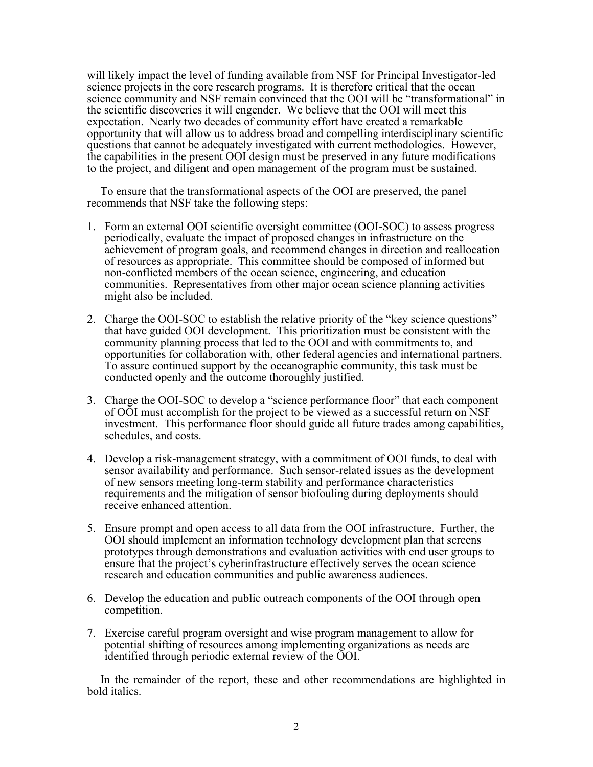will likely impact the level of funding available from NSF for Principal Investigator-led science projects in the core research programs. It is therefore critical that the ocean science community and NSF remain convinced that the OOI will be "transformational" in the scientific discoveries it will engender. We believe that the OOI will meet this expectation. Nearly two decades of community effort have created a remarkable opportunity that will allow us to address broad and compelling interdisciplinary scientific questions that cannot be adequately investigated with current methodologies. However, the capabilities in the present OOI design must be preserved in any future modifications to the project, and diligent and open management of the program must be sustained.

To ensure that the transformational aspects of the OOI are preserved, the panel recommends that NSF take the following steps:

- 1. Form an external OOI scientific oversight committee (OOI-SOC) to assess progress periodically, evaluate the impact of proposed changes in infrastructure on the achievement of program goals, and recommend changes in direction and reallocation of resources as appropriate. This committee should be composed of informed but non-conflicted members of the ocean science, engineering, and education communities. Representatives from other major ocean science planning activities might also be included.
- 2. Charge the OOI-SOC to establish the relative priority of the "key science questions" that have guided OOI development. This prioritization must be consistent with the community planning process that led to the OOI and with commitments to, and opportunities for collaboration with, other federal agencies and international partners. To assure continued support by the oceanographic community, this task must be conducted openly and the outcome thoroughly justified.
- 3. Charge the OOI-SOC to develop a "science performance floor" that each component of OOI must accomplish for the project to be viewed as a successful return on NSF investment. This performance floor should guide all future trades among capabilities, schedules, and costs.
- 4. Develop a risk-management strategy, with a commitment of OOI funds, to deal with sensor availability and performance. Such sensor-related issues as the development of new sensors meeting long-term stability and performance characteristics requirements and the mitigation of sensor biofouling during deployments should receive enhanced attention.
- 5. Ensure prompt and open access to all data from the OOI infrastructure. Further, the OOI should implement an information technology development plan that screens prototypes through demonstrations and evaluation activities with end user groups to ensure that the project's cyberinfrastructure effectively serves the ocean science research and education communities and public awareness audiences.
- 6. Develop the education and public outreach components of the OOI through open competition.
- 7. Exercise careful program oversight and wise program management to allow for potential shifting of resources among implementing organizations as needs are identified through periodic external review of the OOI.

In the remainder of the report, these and other recommendations are highlighted in bold italics.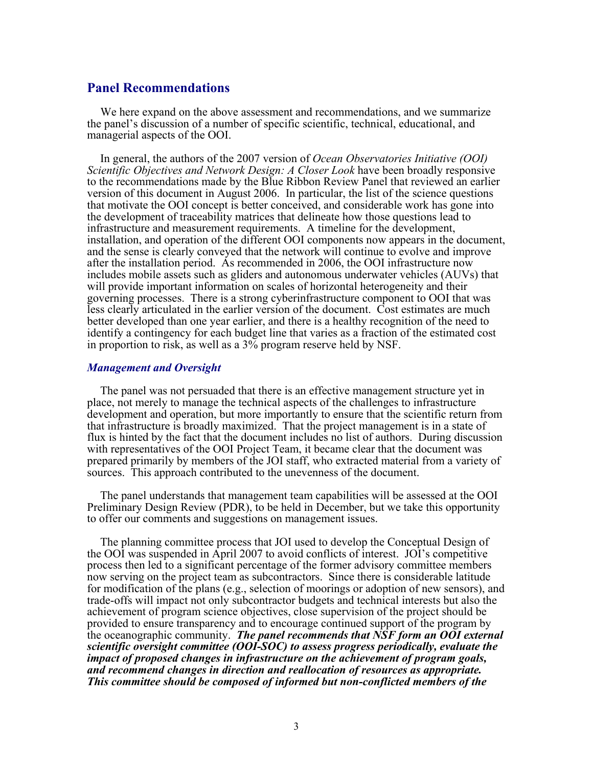# **Panel Recommendations**

We here expand on the above assessment and recommendations, and we summarize the panel's discussion of a number of specific scientific, technical, educational, and managerial aspects of the OOI.

In general, the authors of the 2007 version of *Ocean Observatories Initiative (OOI) Scientific Objectives and Network Design: A Closer Look* have been broadly responsive to the recommendations made by the Blue Ribbon Review Panel that reviewed an earlier version of this document in August 2006. In particular, the list of the science questions that motivate the OOI concept is better conceived, and considerable work has gone into the development of traceability matrices that delineate how those questions lead to infrastructure and measurement requirements. A timeline for the development, installation, and operation of the different OOI components now appears in the document, and the sense is clearly conveyed that the network will continue to evolve and improve after the installation period. As recommended in 2006, the OOI infrastructure now includes mobile assets such as gliders and autonomous underwater vehicles (AUVs) that will provide important information on scales of horizontal heterogeneity and their governing processes. There is a strong cyberinfrastructure component to OOI that was less clearly articulated in the earlier version of the document. Cost estimates are much better developed than one year earlier, and there is a healthy recognition of the need to identify a contingency for each budget line that varies as a fraction of the estimated cost in proportion to risk, as well as a  $3\%$  program reserve held by NSF.

# *Management and Oversight*

The panel was not persuaded that there is an effective management structure yet in place, not merely to manage the technical aspects of the challenges to infrastructure development and operation, but more importantly to ensure that the scientific return from that infrastructure is broadly maximized. That the project management is in a state of flux is hinted by the fact that the document includes no list of authors. During discussion with representatives of the OOI Project Team, it became clear that the document was prepared primarily by members of the JOI staff, who extracted material from a variety of sources. This approach contributed to the unevenness of the document.

The panel understands that management team capabilities will be assessed at the OOI Preliminary Design Review (PDR), to be held in December, but we take this opportunity to offer our comments and suggestions on management issues.

The planning committee process that JOI used to develop the Conceptual Design of the OOI was suspended in April 2007 to avoid conflicts of interest. JOI's competitive process then led to a significant percentage of the former advisory committee members now serving on the project team as subcontractors. Since there is considerable latitude for modification of the plans (e.g., selection of moorings or adoption of new sensors), and trade-offs will impact not only subcontractor budgets and technical interests but also the achievement of program science objectives, close supervision of the project should be provided to ensure transparency and to encourage continued support of the program by the oceanographic community. *The panel recommends that NSF form an OOI external scientific oversight committee (OOI-SOC) to assess progress periodically, evaluate the impact of proposed changes in infrastructure on the achievement of program goals, and recommend changes in direction and reallocation of resources as appropriate. This committee should be composed of informed but non-conflicted members of the*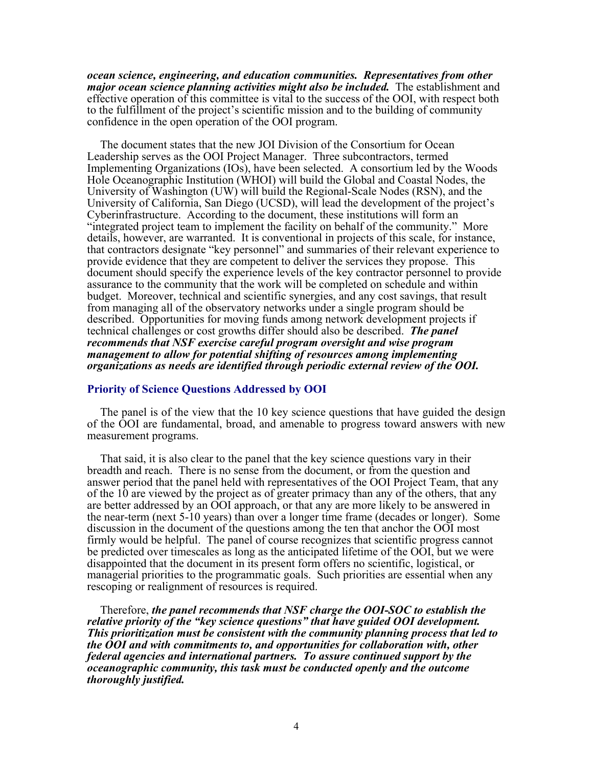*ocean science, engineering, and education communities. Representatives from other major ocean science planning activities might also be included.* The establishment and effective operation of this committee is vital to the success of the OOI, with respect both to the fulfillment of the project's scientific mission and to the building of community confidence in the open operation of the OOI program.

The document states that the new JOI Division of the Consortium for Ocean Leadership serves as the OOI Project Manager. Three subcontractors, termed Implementing Organizations (IOs), have been selected. A consortium led by the Woods Hole Oceanographic Institution (WHOI) will build the Global and Coastal Nodes, the University of Washington (UW) will build the Regional-Scale Nodes (RSN), and the University of California, San Diego (UCSD), will lead the development of the project's Cyberinfrastructure. According to the document, these institutions will form an "integrated project team to implement the facility on behalf of the community." More details, however, are warranted. It is conventional in projects of this scale, for instance, that contractors designate "key personnel" and summaries of their relevant experience to provide evidence that they are competent to deliver the services they propose. This document should specify the experience levels of the key contractor personnel to provide assurance to the community that the work will be completed on schedule and within budget. Moreover, technical and scientific synergies, and any cost savings, that result from managing all of the observatory networks under a single program should be described. Opportunities for moving funds among network development projects if technical challenges or cost growths differ should also be described. *The panel recommends that NSF exercise careful program oversight and wise program management to allow for potential shifting of resources among implementing organizations as needs are identified through periodic external review of the OOI.*

# **Priority of Science Questions Addressed by OOI**

The panel is of the view that the 10 key science questions that have guided the design of the OOI are fundamental, broad, and amenable to progress toward answers with new measurement programs.

That said, it is also clear to the panel that the key science questions vary in their breadth and reach. There is no sense from the document, or from the question and answer period that the panel held with representatives of the OOI Project Team, that any of the 10 are viewed by the project as of greater primacy than any of the others, that any are better addressed by an OOI approach, or that any are more likely to be answered in the near-term (next 5-10 years) than over a longer time frame (decades or longer). Some discussion in the document of the questions among the ten that anchor the OOI most firmly would be helpful. The panel of course recognizes that scientific progress cannot be predicted over timescales as long as the anticipated lifetime of the OOI, but we were disappointed that the document in its present form offers no scientific, logistical, or managerial priorities to the programmatic goals. Such priorities are essential when any rescoping or realignment of resources is required.

Therefore, *the panel recommends that NSF charge the OOI-SOC to establish the relative priority of the "key science questions" that have guided OOI development. This prioritization must be consistent with the community planning process that led to the OOI and with commitments to, and opportunities for collaboration with, other federal agencies and international partners. To assure continued support by the oceanographic community, this task must be conducted openly and the outcome thoroughly justified.*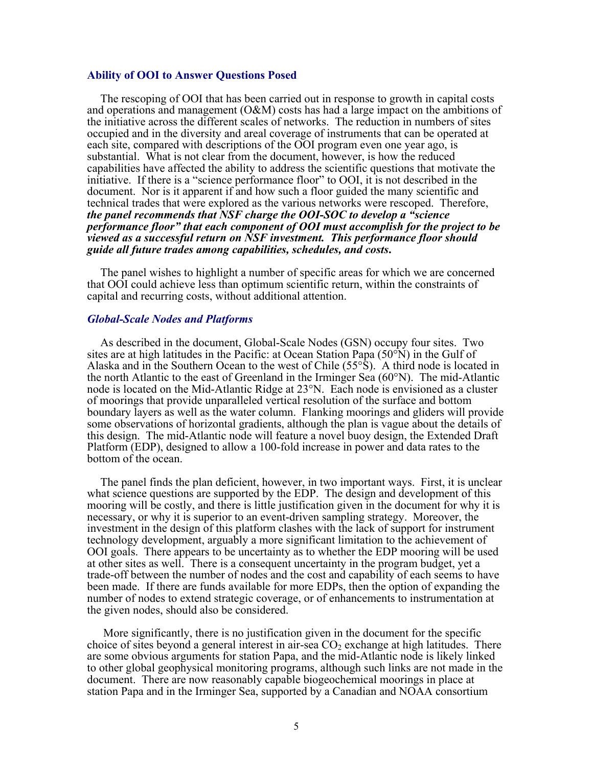# **Ability of OOI to Answer Questions Posed**

The rescoping of OOI that has been carried out in response to growth in capital costs and operations and management  $(O\&M)$  costs has had a large impact on the ambitions of the initiative across the different scales of networks. The reduction in numbers of sites occupied and in the diversity and areal coverage of instruments that can be operated at each site, compared with descriptions of the OOI program even one year ago, is substantial. What is not clear from the document, however, is how the reduced capabilities have affected the ability to address the scientific questions that motivate the initiative. If there is a "science performance floor" to OOI, it is not described in the document. Nor is it apparent if and how such a floor guided the many scientific and technical trades that were explored as the various networks were rescoped. Therefore, *the panel recommends that NSF charge the OOI-SOC to develop a "science performance floor" that each component of OOI must accomplish for the project to be viewed as a successful return on NSF investment. This performance floor should guide all future trades among capabilities, schedules, and costs***.**

The panel wishes to highlight a number of specific areas for which we are concerned that OOI could achieve less than optimum scientific return, within the constraints of capital and recurring costs, without additional attention.

# *Global-Scale Nodes and Platforms*

As described in the document, Global-Scale Nodes (GSN) occupy four sites. Two sites are at high latitudes in the Pacific: at Ocean Station Papa  $(50^{\circ}$ N) in the Gulf of Alaska and in the Southern Ocean to the west of Chile (55°S). A third node is located in the north Atlantic to the east of Greenland in the Irminger Sea (60°N). The mid-Atlantic node is located on the Mid-Atlantic Ridge at 23°N. Each node is envisioned as a cluster of moorings that provide unparalleled vertical resolution of the surface and bottom boundary layers as well as the water column. Flanking moorings and gliders will provide some observations of horizontal gradients, although the plan is vague about the details of this design. The mid-Atlantic node will feature a novel buoy design, the Extended Draft Platform (EDP), designed to allow a 100-fold increase in power and data rates to the bottom of the ocean.

The panel finds the plan deficient, however, in two important ways. First, it is unclear what science questions are supported by the EDP. The design and development of this mooring will be costly, and there is little justification given in the document for why it is necessary, or why it is superior to an event-driven sampling strategy. Moreover, the investment in the design of this platform clashes with the lack of support for instrument technology development, arguably a more significant limitation to the achievement of OOI goals. There appears to be uncertainty as to whether the EDP mooring will be used at other sites as well. There is a consequent uncertainty in the program budget, yet a trade-off between the number of nodes and the cost and capability of each seems to have been made. If there are funds available for more EDPs, then the option of expanding the number of nodes to extend strategic coverage, or of enhancements to instrumentation at the given nodes, should also be considered.

 More significantly, there is no justification given in the document for the specific choice of sites beyond a general interest in air-sea  $CO<sub>2</sub>$  exchange at high latitudes. There are some obvious arguments for station Papa, and the mid-Atlantic node is likely linked to other global geophysical monitoring programs, although such links are not made in the document. There are now reasonably capable biogeochemical moorings in place at station Papa and in the Irminger Sea, supported by a Canadian and NOAA consortium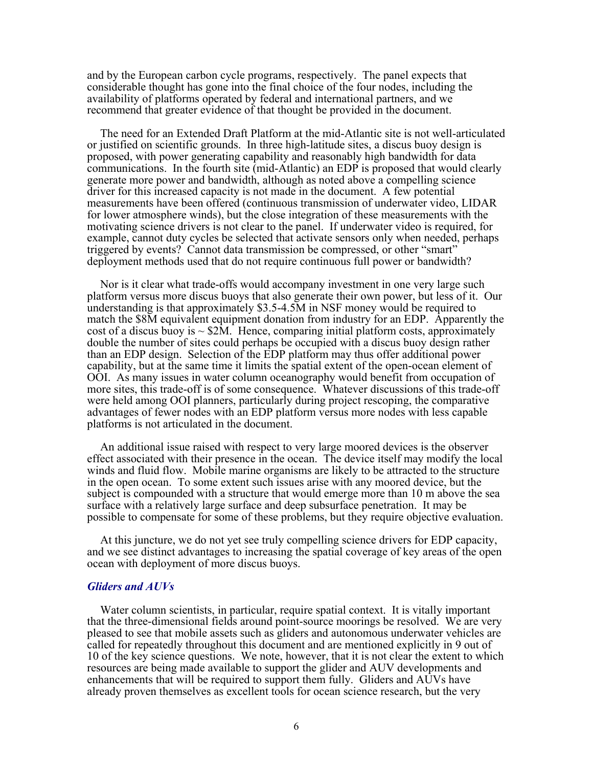and by the European carbon cycle programs, respectively. The panel expects that considerable thought has gone into the final choice of the four nodes, including the availability of platforms operated by federal and international partners, and we recommend that greater evidence of that thought be provided in the document.

The need for an Extended Draft Platform at the mid-Atlantic site is not well-articulated or justified on scientific grounds. In three high-latitude sites, a discus buoy design is proposed, with power generating capability and reasonably high bandwidth for data communications. In the fourth site (mid-Atlantic) an EDP is proposed that would clearly generate more power and bandwidth, although as noted above a compelling science driver for this increased capacity is not made in the document. A few potential measurements have been offered (continuous transmission of underwater video, LIDAR for lower atmosphere winds), but the close integration of these measurements with the motivating science drivers is not clear to the panel. If underwater video is required, for example, cannot duty cycles be selected that activate sensors only when needed, perhaps triggered by events? Cannot data transmission be compressed, or other "smart" deployment methods used that do not require continuous full power or bandwidth?

Nor is it clear what trade-offs would accompany investment in one very large such platform versus more discus buoys that also generate their own power, but less of it. Our understanding is that approximately \$3.5-4.5M in NSF money would be required to match the \$8M equivalent equipment donation from industry for an EDP. Apparently the cost of a discus buoy is  $\sim$  \$2M. Hence, comparing initial platform costs, approximately double the number of sites could perhaps be occupied with a discus buoy design rather than an EDP design. Selection of the EDP platform may thus offer additional power capability, but at the same time it limits the spatial extent of the open-ocean element of OOI. As many issues in water column oceanography would benefit from occupation of more sites, this trade-off is of some consequence. Whatever discussions of this trade-off were held among OOI planners, particularly during project rescoping, the comparative advantages of fewer nodes with an EDP platform versus more nodes with less capable platforms is not articulated in the document.

An additional issue raised with respect to very large moored devices is the observer effect associated with their presence in the ocean. The device itself may modify the local winds and fluid flow. Mobile marine organisms are likely to be attracted to the structure in the open ocean. To some extent such issues arise with any moored device, but the subject is compounded with a structure that would emerge more than 10 m above the sea surface with a relatively large surface and deep subsurface penetration. It may be possible to compensate for some of these problems, but they require objective evaluation.

At this juncture, we do not yet see truly compelling science drivers for EDP capacity, and we see distinct advantages to increasing the spatial coverage of key areas of the open ocean with deployment of more discus buoys.

# *Gliders and AUVs*

Water column scientists, in particular, require spatial context. It is vitally important that the three-dimensional fields around point-source moorings be resolved. We are very pleased to see that mobile assets such as gliders and autonomous underwater vehicles are called for repeatedly throughout this document and are mentioned explicitly in 9 out of 10 of the key science questions. We note, however, that it is not clear the extent to which resources are being made available to support the glider and AUV developments and enhancements that will be required to support them fully. Gliders and AUVs have already proven themselves as excellent tools for ocean science research, but the very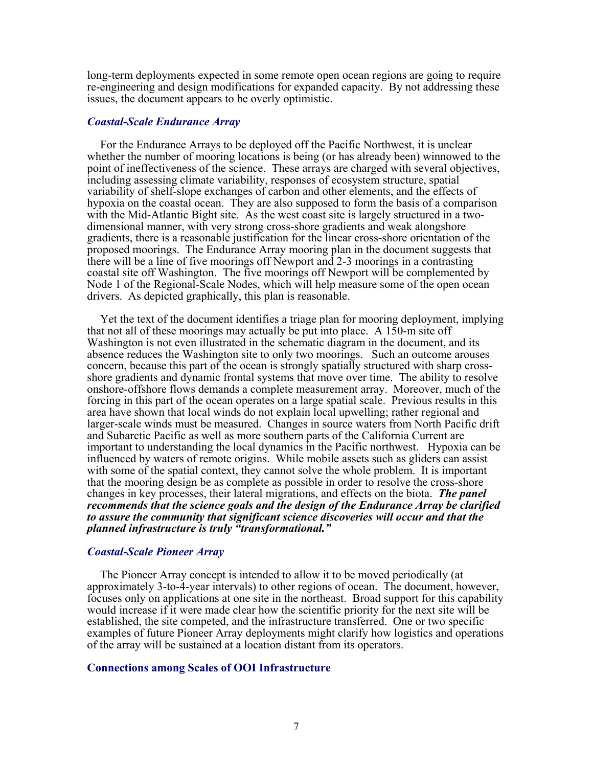long-term deployments expected in some remote open ocean regions are going to require re-engineering and design modifications for expanded capacity. By not addressing these issues, the document appears to be overly optimistic.

# *Coastal-Scale Endurance Array*

For the Endurance Arrays to be deployed off the Pacific Northwest, it is unclear whether the number of mooring locations is being (or has already been) winnowed to the point of ineffectiveness of the science. These arrays are charged with several objectives, including assessing climate variability, responses of ecosystem structure, spatial variability of shelf-slope exchanges of carbon and other elements, and the effects of hypoxia on the coastal ocean. They are also supposed to form the basis of a comparison with the Mid-Atlantic Bight site. As the west coast site is largely structured in a twodimensional manner, with very strong cross-shore gradients and weak alongshore gradients, there is a reasonable justification for the linear cross-shore orientation of the proposed moorings. The Endurance Array mooring plan in the document suggests that there will be a line of five moorings off Newport and 2-3 moorings in a contrasting coastal site off Washington. The five moorings off Newport will be complemented by Node 1 of the Regional-Scale Nodes, which will help measure some of the open ocean drivers. As depicted graphically, this plan is reasonable.

Yet the text of the document identifies a triage plan for mooring deployment, implying that not all of these moorings may actually be put into place. A 150-m site off Washington is not even illustrated in the schematic diagram in the document, and its absence reduces the Washington site to only two moorings. Such an outcome arouses concern, because this part of the ocean is strongly spatially structured with sharp crossshore gradients and dynamic frontal systems that move over time. The ability to resolve onshore-offshore flows demands a complete measurement array. Moreover, much of the forcing in this part of the ocean operates on a large spatial scale. Previous results in this area have shown that local winds do not explain local upwelling; rather regional and larger-scale winds must be measured. Changes in source waters from North Pacific drift and Subarctic Pacific as well as more southern parts of the California Current are important to understanding the local dynamics in the Pacific northwest. Hypoxia can be influenced by waters of remote origins. While mobile assets such as gliders can assist with some of the spatial context, they cannot solve the whole problem. It is important that the mooring design be as complete as possible in order to resolve the cross-shore changes in key processes, their lateral migrations, and effects on the biota. *The panel recommends that the science goals and the design of the Endurance Array be clarified to assure the community that significant science discoveries will occur and that the planned infrastructure is truly "transformational."*

### *Coastal-Scale Pioneer Array*

The Pioneer Array concept is intended to allow it to be moved periodically (at approximately 3-to-4-year intervals) to other regions of ocean. The document, however, focuses only on applications at one site in the northeast. Broad support for this capability would increase if it were made clear how the scientific priority for the next site will be established, the site competed, and the infrastructure transferred. One or two specific examples of future Pioneer Array deployments might clarify how logistics and operations of the array will be sustained at a location distant from its operators.

### **Connections among Scales of OOI Infrastructure**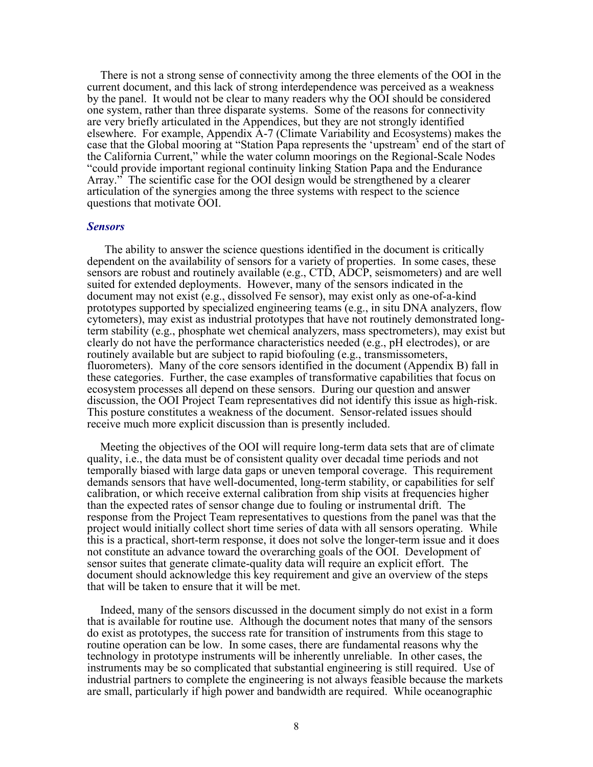There is not a strong sense of connectivity among the three elements of the OOI in the current document, and this lack of strong interdependence was perceived as a weakness by the panel. It would not be clear to many readers why the OOI should be considered one system, rather than three disparate systems. Some of the reasons for connectivity are very briefly articulated in the Appendices, but they are not strongly identified elsewhere. For example, Appendix A-7 (Climate Variability and Ecosystems) makes the case that the Global mooring at "Station Papa represents the 'upstream' end of the start of the California Current," while the water column moorings on the Regional-Scale Nodes "could provide important regional continuity linking Station Papa and the Endurance Array." The scientific case for the OOI design would be strengthened by a clearer articulation of the synergies among the three systems with respect to the science questions that motivate OOI.

#### *Sensors*

The ability to answer the science questions identified in the document is critically dependent on the availability of sensors for a variety of properties. In some cases, these sensors are robust and routinely available (e.g., CTD, ADCP, seismometers) and are well suited for extended deployments. However, many of the sensors indicated in the document may not exist (e.g., dissolved Fe sensor), may exist only as one-of-a-kind prototypes supported by specialized engineering teams (e.g., in situ DNA analyzers, flow cytometers), may exist as industrial prototypes that have not routinely demonstrated longterm stability (e.g., phosphate wet chemical analyzers, mass spectrometers), may exist but clearly do not have the performance characteristics needed (e.g., pH electrodes), or are routinely available but are subject to rapid biofouling (e.g., transmissometers, fluorometers). Many of the core sensors identified in the document (Appendix B) fall in these categories. Further, the case examples of transformative capabilities that focus on ecosystem processes all depend on these sensors. During our question and answer discussion, the OOI Project Team representatives did not identify this issue as high-risk. This posture constitutes a weakness of the document. Sensor-related issues should receive much more explicit discussion than is presently included.

Meeting the objectives of the OOI will require long-term data sets that are of climate quality, i.e., the data must be of consistent quality over decadal time periods and not temporally biased with large data gaps or uneven temporal coverage. This requirement demands sensors that have well-documented, long-term stability, or capabilities for self calibration, or which receive external calibration from ship visits at frequencies higher than the expected rates of sensor change due to fouling or instrumental drift. The response from the Project Team representatives to questions from the panel was that the project would initially collect short time series of data with all sensors operating. While this is a practical, short-term response, it does not solve the longer-term issue and it does not constitute an advance toward the overarching goals of the OOI. Development of sensor suites that generate climate-quality data will require an explicit effort. The document should acknowledge this key requirement and give an overview of the steps that will be taken to ensure that it will be met.

Indeed, many of the sensors discussed in the document simply do not exist in a form that is available for routine use. Although the document notes that many of the sensors do exist as prototypes, the success rate for transition of instruments from this stage to routine operation can be low. In some cases, there are fundamental reasons why the technology in prototype instruments will be inherently unreliable. In other cases, the instruments may be so complicated that substantial engineering is still required. Use of industrial partners to complete the engineering is not always feasible because the markets are small, particularly if high power and bandwidth are required. While oceanographic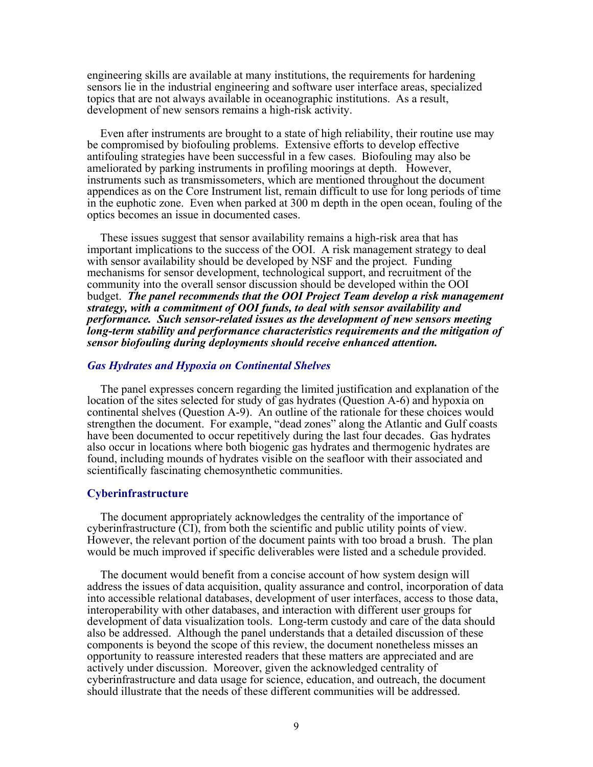engineering skills are available at many institutions, the requirements for hardening sensors lie in the industrial engineering and software user interface areas, specialized topics that are not always available in oceanographic institutions. As a result, development of new sensors remains a high-risk activity.

Even after instruments are brought to a state of high reliability, their routine use may be compromised by biofouling problems. Extensive efforts to develop effective antifouling strategies have been successful in a few cases. Biofouling may also be ameliorated by parking instruments in profiling moorings at depth. However, instruments such as transmissometers, which are mentioned throughout the document appendices as on the Core Instrument list, remain difficult to use for long periods of time in the euphotic zone. Even when parked at 300 m depth in the open ocean, fouling of the optics becomes an issue in documented cases.

These issues suggest that sensor availability remains a high-risk area that has important implications to the success of the OOI. A risk management strategy to deal with sensor availability should be developed by NSF and the project. Funding mechanisms for sensor development, technological support, and recruitment of the community into the overall sensor discussion should be developed within the OOI budget. *The panel recommends that the OOI Project Team develop a risk management strategy, with a commitment of OOI funds, to deal with sensor availability and performance.**Such sensor-related issues as the development of new sensors meeting long-term stability and performance characteristics requirements and the mitigation of sensor biofouling during deployments should receive enhanced attention.*

### *Gas Hydrates and Hypoxia on Continental Shelves*

The panel expresses concern regarding the limited justification and explanation of the location of the sites selected for study of gas hydrates (Question A-6) and hypoxia on continental shelves (Question A-9). An outline of the rationale for these choices would strengthen the document. For example, "dead zones" along the Atlantic and Gulf coasts have been documented to occur repetitively during the last four decades. Gas hydrates also occur in locations where both biogenic gas hydrates and thermogenic hydrates are found, including mounds of hydrates visible on the seafloor with their associated and scientifically fascinating chemosynthetic communities.

### **Cyberinfrastructure**

The document appropriately acknowledges the centrality of the importance of cyberinfrastructure (CI), from both the scientific and public utility points of view. However, the relevant portion of the document paints with too broad a brush. The plan would be much improved if specific deliverables were listed and a schedule provided.

The document would benefit from a concise account of how system design will address the issues of data acquisition, quality assurance and control, incorporation of data into accessible relational databases, development of user interfaces, access to those data, interoperability with other databases, and interaction with different user groups for development of data visualization tools. Long-term custody and care of the data should also be addressed. Although the panel understands that a detailed discussion of these components is beyond the scope of this review, the document nonetheless misses an opportunity to reassure interested readers that these matters are appreciated and are actively under discussion. Moreover, given the acknowledged centrality of cyberinfrastructure and data usage for science, education, and outreach, the document should illustrate that the needs of these different communities will be addressed.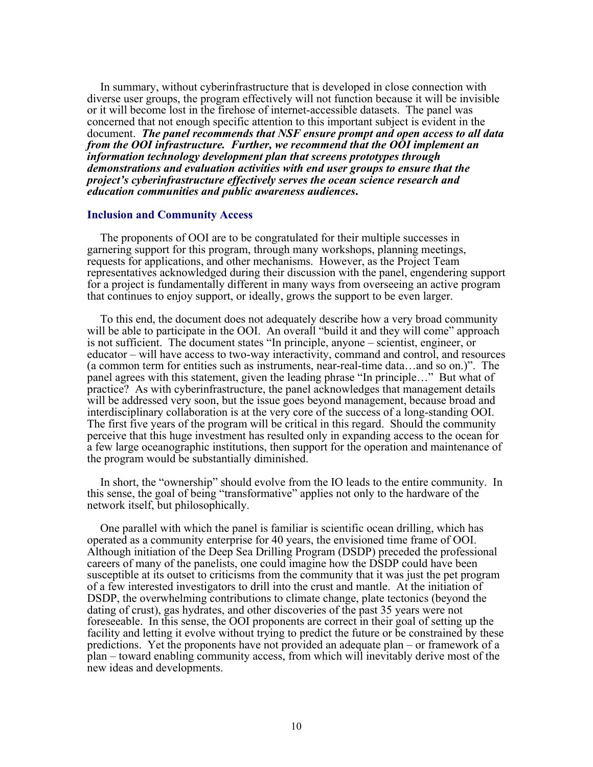In summary, without cyberinfrastructure that is developed in close connection with diverse user groups, the program effectively will not function because it will be invisible or it will become lost in the firehose of internet-accessible datasets. The panel was concerned that not enough specific attention to this important subject is evident in the document. *The panel recommends that NSF ensure prompt and open access to all data from the OOI infrastructure. Further, we recommend that the OOI implement an information technology development plan that screens prototypes through demonstrations and evaluation activities with end user groups to ensure that the project's cyberinfrastructure effectively serves the ocean science research and education communities and public awareness audiences***.**

### **Inclusion and Community Access**

The proponents of OOI are to be congratulated for their multiple successes in garnering support for this program, through many workshops, planning meetings, requests for applications, and other mechanisms. However, as the Project Team representatives acknowledged during their discussion with the panel, engendering support for a project is fundamentally different in many ways from overseeing an active program that continues to enjoy support, or ideally, grows the support to be even larger.

To this end, the document does not adequately describe how a very broad community will be able to participate in the OOI. An overall "build it and they will come" approach is not sufficient. The document states "In principle, anyone – scientist, engineer, or educator – will have access to two-way interactivity, command and control, and resources (a common term for entities such as instruments, near-real-time data…and so on.)". The panel agrees with this statement, given the leading phrase "In principle…" But what of practice? As with cyberinfrastructure, the panel acknowledges that management details will be addressed very soon, but the issue goes beyond management, because broad and interdisciplinary collaboration is at the very core of the success of a long-standing OOI. The first five years of the program will be critical in this regard. Should the community perceive that this huge investment has resulted only in expanding access to the ocean for a few large oceanographic institutions, then support for the operation and maintenance of the program would be substantially diminished.

In short, the "ownership" should evolve from the IO leads to the entire community. In this sense, the goal of being "transformative" applies not only to the hardware of the network itself, but philosophically.

One parallel with which the panel is familiar is scientific ocean drilling, which has operated as a community enterprise for 40 years, the envisioned time frame of OOI. Although initiation of the Deep Sea Drilling Program (DSDP) preceded the professional careers of many of the panelists, one could imagine how the DSDP could have been susceptible at its outset to criticisms from the community that it was just the pet program of a few interested investigators to drill into the crust and mantle. At the initiation of DSDP, the overwhelming contributions to climate change, plate tectonics (beyond the dating of crust), gas hydrates, and other discoveries of the past 35 years were not foreseeable. In this sense, the OOI proponents are correct in their goal of setting up the facility and letting it evolve without trying to predict the future or be constrained by these predictions. Yet the proponents have not provided an adequate plan – or framework of a plan – toward enabling community access, from which will inevitably derive most of the new ideas and developments.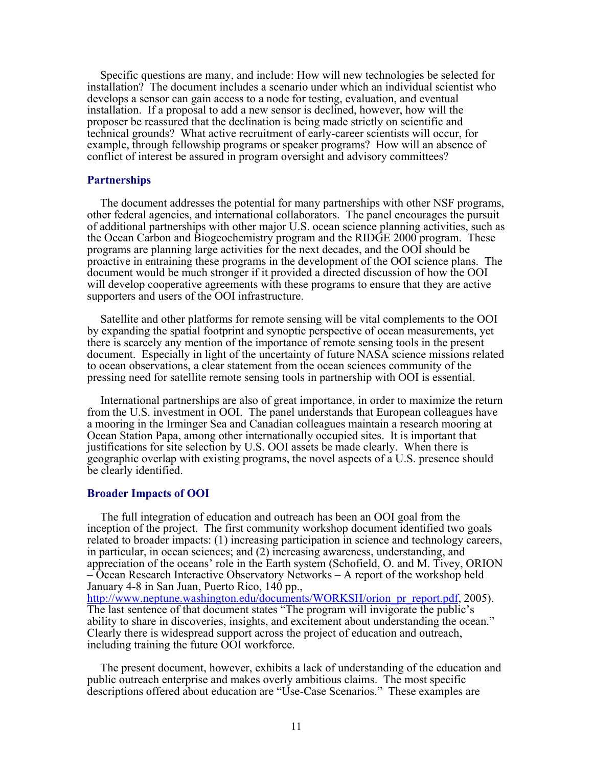Specific questions are many, and include: How will new technologies be selected for installation? The document includes a scenario under which an individual scientist who develops a sensor can gain access to a node for testing, evaluation, and eventual installation. If a proposal to add a new sensor is declined, however, how will the proposer be reassured that the declination is being made strictly on scientific and technical grounds? What active recruitment of early-career scientists will occur, for example, through fellowship programs or speaker programs? How will an absence of conflict of interest be assured in program oversight and advisory committees?

# **Partnerships**

The document addresses the potential for many partnerships with other NSF programs, other federal agencies, and international collaborators. The panel encourages the pursuit of additional partnerships with other major U.S. ocean science planning activities, such as the Ocean Carbon and Biogeochemistry program and the RIDGE 2000 program. These programs are planning large activities for the next decades, and the OOI should be proactive in entraining these programs in the development of the OOI science plans. The document would be much stronger if it provided a directed discussion of how the OOI will develop cooperative agreements with these programs to ensure that they are active supporters and users of the OOI infrastructure.

Satellite and other platforms for remote sensing will be vital complements to the OOI by expanding the spatial footprint and synoptic perspective of ocean measurements, yet there is scarcely any mention of the importance of remote sensing tools in the present document. Especially in light of the uncertainty of future NASA science missions related to ocean observations, a clear statement from the ocean sciences community of the pressing need for satellite remote sensing tools in partnership with OOI is essential.

International partnerships are also of great importance, in order to maximize the return from the U.S. investment in OOI. The panel understands that European colleagues have a mooring in the Irminger Sea and Canadian colleagues maintain a research mooring at Ocean Station Papa, among other internationally occupied sites. It is important that justifications for site selection by U.S. OOI assets be made clearly. When there is geographic overlap with existing programs, the novel aspects of a U.S. presence should be clearly identified.

### **Broader Impacts of OOI**

The full integration of education and outreach has been an OOI goal from the inception of the project. The first community workshop document identified two goals related to broader impacts: (1) increasing participation in science and technology careers, in particular, in ocean sciences; and (2) increasing awareness, understanding, and appreciation of the oceans' role in the Earth system (Schofield, O. and M. Tivey, ORION – Ocean Research Interactive Observatory Networks – A report of the workshop held January 4-8 in San Juan, Puerto Rico, 140 pp., [http://www.neptune.washington.edu/documents/WORKSH/orion\\_pr\\_report.pdf](http://www.neptune.washington.edu/documents/WORKSH/orion_pr_report.pdf), 2005). The last sentence of that document states "The program will invigorate the public's ability to share in discoveries, insights, and excitement about understanding the ocean." Clearly there is widespread support across the project of education and outreach, including training the future OOI workforce.

The present document, however, exhibits a lack of understanding of the education and public outreach enterprise and makes overly ambitious claims. The most specific descriptions offered about education are "Use-Case Scenarios." These examples are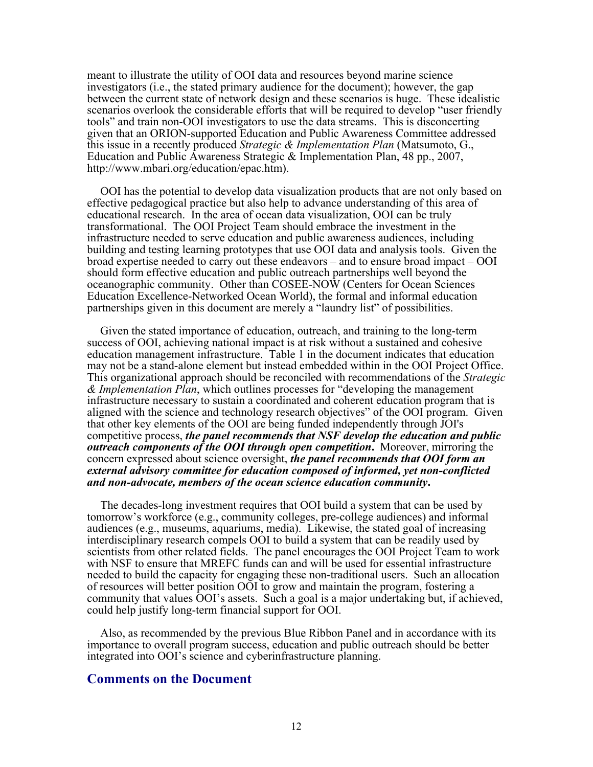meant to illustrate the utility of OOI data and resources beyond marine science investigators (i.e., the stated primary audience for the document); however, the gap between the current state of network design and these scenarios is huge. These idealistic scenarios overlook the considerable efforts that will be required to develop "user friendly tools" and train non-OOI investigators to use the data streams. This is disconcerting given that an ORION-supported Education and Public Awareness Committee addressed this issue in a recently produced *Strategic & Implementation Plan* (Matsumoto, G., Education and Public Awareness Strategic & Implementation Plan, 48 pp., 2007, http://www.mbari.org/education/epac.htm).

OOI has the potential to develop data visualization products that are not only based on effective pedagogical practice but also help to advance understanding of this area of educational research. In the area of ocean data visualization, OOI can be truly transformational. The OOI Project Team should embrace the investment in the infrastructure needed to serve education and public awareness audiences, including building and testing learning prototypes that use OOI data and analysis tools. Given the broad expertise needed to carry out these endeavors – and to ensure broad impact – OOI should form effective education and public outreach partnerships well beyond the oceanographic community. Other than COSEE-NOW (Centers for Ocean Sciences Education Excellence-Networked Ocean World), the formal and informal education partnerships given in this document are merely a "laundry list" of possibilities.

Given the stated importance of education, outreach, and training to the long-term success of OOI, achieving national impact is at risk without a sustained and cohesive education management infrastructure. Table 1 in the document indicates that education may not be a stand-alone element but instead embedded within in the OOI Project Office. This organizational approach should be reconciled with recommendations of the *Strategic & Implementation Plan*, which outlines processes for "developing the management infrastructure necessary to sustain a coordinated and coherent education program that is aligned with the science and technology research objectives" of the OOI program. Given that other key elements of the OOI are being funded independently through JOI's competitive process, *the panel recommends that NSF develop the education and public outreach components of the OOI through open competition***.** Moreover, mirroring the concern expressed about science oversight, *the panel recommends that OOI form an external advisory committee for education composed of informed, yet non-conflicted and non-advocate, members of the ocean science education community***.**

The decades-long investment requires that OOI build a system that can be used by tomorrow's workforce (e.g., community colleges, pre-college audiences) and informal audiences (e.g., museums, aquariums, media). Likewise, the stated goal of increasing interdisciplinary research compels OOI to build a system that can be readily used by scientists from other related fields. The panel encourages the OOI Project Team to work with NSF to ensure that MREFC funds can and will be used for essential infrastructure needed to build the capacity for engaging these non-traditional users. Such an allocation of resources will better position OOI to grow and maintain the program, fostering a community that values OOI's assets. Such a goal is a major undertaking but, if achieved, could help justify long-term financial support for OOI.

Also, as recommended by the previous Blue Ribbon Panel and in accordance with its importance to overall program success, education and public outreach should be better integrated into OOI's science and cyberinfrastructure planning.

# **Comments on the Document**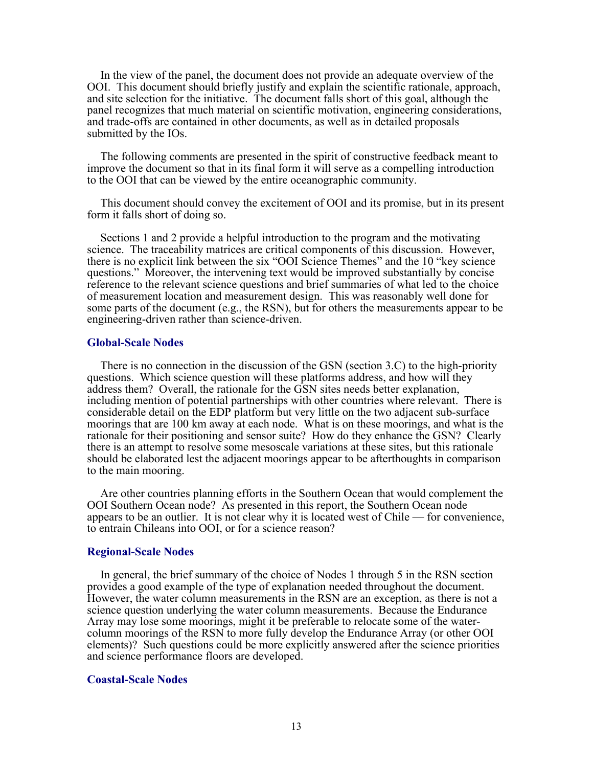In the view of the panel, the document does not provide an adequate overview of the OOI. This document should briefly justify and explain the scientific rationale, approach, and site selection for the initiative. The document falls short of this goal, although the panel recognizes that much material on scientific motivation, engineering considerations, and trade-offs are contained in other documents, as well as in detailed proposals submitted by the IOs.

The following comments are presented in the spirit of constructive feedback meant to improve the document so that in its final form it will serve as a compelling introduction to the OOI that can be viewed by the entire oceanographic community.

This document should convey the excitement of OOI and its promise, but in its present form it falls short of doing so.

Sections 1 and 2 provide a helpful introduction to the program and the motivating science. The traceability matrices are critical components of this discussion. However, there is no explicit link between the six "OOI Science Themes" and the 10 "key science questions." Moreover, the intervening text would be improved substantially by concise reference to the relevant science questions and brief summaries of what led to the choice of measurement location and measurement design. This was reasonably well done for some parts of the document (e.g., the RSN), but for others the measurements appear to be engineering-driven rather than science-driven.

### **Global-Scale Nodes**

There is no connection in the discussion of the GSN (section 3.C) to the high-priority questions. Which science question will these platforms address, and how will they address them? Overall, the rationale for the GSN sites needs better explanation, including mention of potential partnerships with other countries where relevant. There is considerable detail on the EDP platform but very little on the two adjacent sub-surface moorings that are 100 km away at each node. What is on these moorings, and what is the rationale for their positioning and sensor suite? How do they enhance the GSN? Clearly there is an attempt to resolve some mesoscale variations at these sites, but this rationale should be elaborated lest the adjacent moorings appear to be afterthoughts in comparison to the main mooring.

Are other countries planning efforts in the Southern Ocean that would complement the OOI Southern Ocean node? As presented in this report, the Southern Ocean node appears to be an outlier. It is not clear why it is located west of Chile — for convenience, to entrain Chileans into OOI, or for a science reason?

### **Regional-Scale Nodes**

In general, the brief summary of the choice of Nodes 1 through 5 in the RSN section provides a good example of the type of explanation needed throughout the document. However, the water column measurements in the RSN are an exception, as there is not a science question underlying the water column measurements. Because the Endurance Array may lose some moorings, might it be preferable to relocate some of the watercolumn moorings of the RSN to more fully develop the Endurance Array (or other OOI elements)? Such questions could be more explicitly answered after the science priorities and science performance floors are developed.

### **Coastal-Scale Nodes**